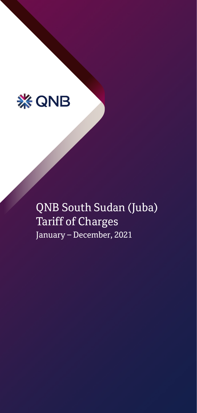

QNB South Sudan (Juba) Tariff of Charges January – December, 2021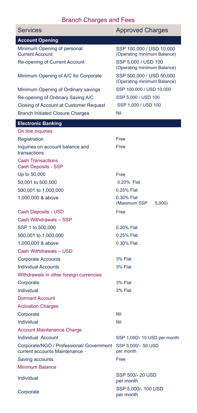## Branch Charges and Fees

| <b>Services</b>                                                          | <b>Approved Charges</b>                                 |
|--------------------------------------------------------------------------|---------------------------------------------------------|
| <b>Account Opening</b>                                                   |                                                         |
| Minimum Opening of personal<br><b>Current Account</b>                    | SSP 100,000 / USD 10,000<br>(Operating minimum Balance) |
| Re-opening of Current Account                                            | SSP 5,000 / USD 100<br>(Operating minimum Balance)      |
| Minimum Opening of A/C for Corporate                                     | SSP 500,000 / USD 50,000<br>(Operating minimum Balance) |
| Minimum Opening of Ordinary savings                                      | SSP 100,000 / USD 10,000                                |
| Re-opening of Ordinary Saving A/C                                        | SSP 5,000 / USD 100                                     |
| Closing of Account at Customer Request                                   | SSP 1,000 / USD 100                                     |
| <b>Branch Initiated Closure Charges</b>                                  | Nil                                                     |
| <b>Electronic Banking</b>                                                |                                                         |
| On line inquiries                                                        |                                                         |
| Registration                                                             | Free                                                    |
| Inquiries on account balance and<br>transactions                         | Free                                                    |
| <b>Cash Transactions</b><br>Cash Deposits - SSP                          |                                                         |
| Up to 50,000                                                             | Free                                                    |
| 50,001 to 500,000                                                        | 0.20% Flat                                              |
| 500,001 to 1,000,000                                                     | 0.25% Flat                                              |
| 1,000,000 & above                                                        | 0.30% Flat<br>(Maximum SSP<br>5,000                     |
| Cash Deposits - USD                                                      | Free                                                    |
| Cash Withdrawals - SSP                                                   |                                                         |
| SSP 1 to 500,000                                                         | 0.20% Flat                                              |
| 500,001 to 1,000,000                                                     | 0.25% Flat                                              |
| 1,000,000 & above                                                        | 0.30% Flat                                              |
| Cash Withdrawals - USD                                                   |                                                         |
| <b>Corporate Accounts</b>                                                | 3% Flat                                                 |
| <b>Individual Accounts</b>                                               | 3% Flat                                                 |
| Withdrawals in other foreign currencies                                  |                                                         |
| Corporate                                                                | 3% Flat                                                 |
| Individual                                                               | 3% Flat                                                 |
| <b>Dormant Account</b>                                                   |                                                         |
| <b>Activation Charges</b>                                                |                                                         |
| Corporate                                                                | Nil                                                     |
| Individual                                                               | Nil                                                     |
| <b>Account Maintenance Charge</b>                                        |                                                         |
| <b>Individual Account</b>                                                | SSP 1,000/- 10 USD per month                            |
| Corporate/NGO / Professional/ Government<br>current accounts Maintenance | SSP 5,000/- 50 USD<br>per month                         |
| Saving accounts                                                          | Free                                                    |
| Minimum Balance                                                          |                                                         |
| Individual                                                               | SSP 500/- 20 USD<br>per month                           |
| Corporate                                                                | SSP 5,000/- 100 USD<br>per month                        |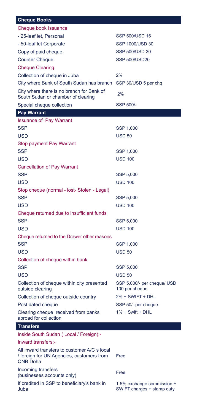| <b>Cheque Books</b>                                                                                          |                                                          |
|--------------------------------------------------------------------------------------------------------------|----------------------------------------------------------|
| Cheque book Issuance:                                                                                        |                                                          |
| - 25-leaf let. Personal                                                                                      | <b>SSP 500/USD 15</b>                                    |
| - 50-leaf let Corporate                                                                                      | SSP 1000/USD 30                                          |
| Copy of paid cheque                                                                                          | <b>SSP 500/USD 30</b>                                    |
| <b>Counter Cheque</b>                                                                                        | <b>SSP 500/USD20</b>                                     |
| Cheque Clearing.                                                                                             |                                                          |
| Collection of cheque in Juba                                                                                 | 2%                                                       |
| City where Bank of South Sudan has branch                                                                    | SSP 30/USD 5 per chq                                     |
| City where there is no branch for Bank of<br>South Sudan or chamber of clearing                              | 2%                                                       |
| Special cheque collection                                                                                    | SSP 500/-                                                |
| <b>Pay Warrant</b>                                                                                           |                                                          |
| <b>Issuance of Pay Warrant</b>                                                                               |                                                          |
| <b>SSP</b>                                                                                                   | SSP 1,000                                                |
| <b>USD</b>                                                                                                   | <b>USD 50</b>                                            |
| Stop payment Pay Warrant                                                                                     |                                                          |
| <b>SSP</b>                                                                                                   | SSP 1,000                                                |
| <b>USD</b>                                                                                                   | <b>USD 100</b>                                           |
| <b>Cancellation of Pay Warrant</b>                                                                           |                                                          |
| <b>SSP</b>                                                                                                   | SSP 5,000                                                |
| <b>USD</b>                                                                                                   | <b>USD 100</b>                                           |
| Stop cheque (normal - lost- Stolen - Legal)                                                                  |                                                          |
| <b>SSP</b>                                                                                                   | SSP 5,000                                                |
| <b>USD</b>                                                                                                   | <b>USD 100</b>                                           |
| Cheque returned due to insufficient funds                                                                    |                                                          |
| <b>SSP</b>                                                                                                   | SSP 5,000                                                |
| USD                                                                                                          | <b>USD 100</b>                                           |
| Cheque returned to the Drawer other reasons                                                                  |                                                          |
| <b>SSP</b>                                                                                                   | SSP 1,000                                                |
| <b>USD</b>                                                                                                   | <b>USD 50</b>                                            |
| Collection of cheque within bank                                                                             |                                                          |
| <b>SSP</b>                                                                                                   | SSP 5,000                                                |
| <b>USD</b>                                                                                                   | <b>USD 50</b>                                            |
| Collection of cheque within city presented<br>outside clearing                                               | SSP 5,000/- per cheque/ USD<br>100 per cheque            |
| Collection of cheque outside country                                                                         | 2% + SWIFT + DHL                                         |
| Post dated cheque                                                                                            | SSP 50/- per cheque.                                     |
| Clearing cheque received from banks<br>abroad for collection                                                 | $1\% +$ Swift + DHL                                      |
| <b>Transfers</b>                                                                                             |                                                          |
| Inside South Sudan (Local / Foreign):-                                                                       |                                                          |
| Inward transfers:-                                                                                           |                                                          |
| All inward transfers to customer A/C s local<br>/ foreign for UN Agencies, customers from<br><b>QNB Doha</b> | Free                                                     |
| Incoming transfers<br>(businesses accounts only)                                                             | Free                                                     |
| If credited in SSP to beneficiary's bank in<br>Juba                                                          | 1.5% exchange commission +<br>SWIFT charges + stamp duty |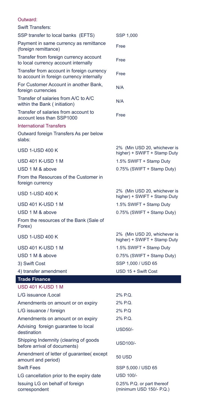| <b>Jutward</b> |  |  |
|----------------|--|--|
|                |  |  |

| <b>Swift Transfers:</b>                                                                |                                                              |
|----------------------------------------------------------------------------------------|--------------------------------------------------------------|
| SSP transfer to local banks (EFTS)                                                     | SSP 1,000                                                    |
| Payment in same currency as remittance<br>(foreign remittance)                         | Free                                                         |
| Transfer from foreign currency account<br>to local currency account internally         | Free                                                         |
| Transfer from account in foreign currency<br>to account in foreign currency internally | Free                                                         |
| For Customer Account in another Bank,<br>foreign currencies                            | N/A                                                          |
| Transfer of salaries from A/C to A/C<br>within the Bank (initiation)                   | N/A                                                          |
| Transfer of salaries from account to<br>account less than SSP1000                      | Free                                                         |
| <b>International Transfers</b>                                                         |                                                              |
| Outward foreign Transfers As per below<br>slabs:                                       |                                                              |
| <b>USD 1-USD 400 K</b>                                                                 | 2% (Min USD 20, whichever is<br>higher) + SWIFT + Stamp Duty |
| USD 401 K-USD 1 M                                                                      | 1.5% SWIFT + Stamp Duty                                      |
| USD 1 M & above                                                                        | 0.75% (SWIFT + Stamp Duty)                                   |
| From the Resources of the Customer in<br>foreign currency                              |                                                              |
| <b>USD 1-USD 400 K</b>                                                                 | 2% (Min USD 20, whichever is<br>higher) + SWIFT + Stamp Duty |
| <b>USD 401 K-USD 1 M</b>                                                               | 1.5% SWIFT + Stamp Duty                                      |
| USD 1 M & above                                                                        | 0.75% (SWIFT + Stamp Duty)                                   |
| From the resources of the Bank (Sale of<br>Forex)                                      |                                                              |
| <b>USD 1-USD 400 K</b>                                                                 | 2% (Min USD 20, whichever is<br>higher) + SWIFT + Stamp Duty |
| <b>USD 401 K-USD 1 M</b>                                                               | 1.5% SWIFT + Stamp Duty                                      |
| USD 1 M & above                                                                        | 0.75% (SWIFT + Stamp Duty)                                   |
| 3) Swift Cost                                                                          | SSP 1,000 / USD 65                                           |
| 4) transfer amendment                                                                  | USD 15 + Swift Cost                                          |
| <b>Trade Finance</b>                                                                   |                                                              |
| USD 401 K-USD 1 M                                                                      |                                                              |
| L/G issuance /Local                                                                    | 2% P.Q.                                                      |
| Amendments on amount or on expiry                                                      | 2% P.Q.                                                      |
| L/G issuance / foreign                                                                 | 2% P.O                                                       |

Amendments on amount or on expiry 2% P.Q.

Advising foreign guarantee to local Advising foreign guarantee to local USD50/-<br>destination

Shipping Indemnity (clearing of goods Supping indefinity (clearing or goods<br>before arrival of documents)

Amendment of letter of guarantee( except Amendment of letter of guarantee(except<br>amount and period)

Swift Fees SSP 5,000 / USD 65

LG cancellation prior to the expiry date USD 100/-

Issuing LG on behalf of foreign correspondent

0.25% P.Q. or part thereof (minimum USD 150/- P.Q.) ٦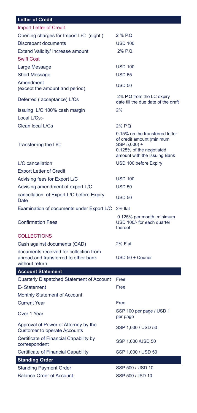## **Letter of Credit**

| <b>Import Letter of Credit</b>                                                                   |                                                                                                                                          |
|--------------------------------------------------------------------------------------------------|------------------------------------------------------------------------------------------------------------------------------------------|
| Opening charges for Import L/C (sight)                                                           | 2 % P.Q                                                                                                                                  |
| Discrepant documents                                                                             | <b>USD 100</b>                                                                                                                           |
| Extend Validity/ Increase amount                                                                 | 2% P.Q.                                                                                                                                  |
| <b>Swift Cost</b>                                                                                |                                                                                                                                          |
| Large Message                                                                                    | <b>USD 100</b>                                                                                                                           |
| <b>Short Message</b>                                                                             | <b>USD 65</b>                                                                                                                            |
| Amendment                                                                                        | <b>USD 50</b>                                                                                                                            |
| (except the amount and period)                                                                   |                                                                                                                                          |
| Deferred (acceptance) L/Cs                                                                       | 2% P.Q from the LC expiry<br>date till the due date of the draft                                                                         |
| Issuing L/C 100% cash margin                                                                     | 2%                                                                                                                                       |
| Local L/Cs:-                                                                                     |                                                                                                                                          |
| Clean local L/Cs                                                                                 | 2% P.Q                                                                                                                                   |
| Transferring the L/C                                                                             | 0.15% on the transferred letter<br>of credit amount (minimum<br>SSP 5,000) +<br>0.125% of the negotiated<br>amount with the Issuing Bank |
| L/C cancellation                                                                                 | USD 100 before Expiry                                                                                                                    |
| <b>Export Letter of Credit</b>                                                                   |                                                                                                                                          |
| Advising fees for Export L/C                                                                     | <b>USD 100</b>                                                                                                                           |
| Advising amendment of export L/C                                                                 | <b>USD 50</b>                                                                                                                            |
| cancellation of Export L/C before Expiry<br>Date                                                 | <b>USD 50</b>                                                                                                                            |
| Examination of documents under Export L/C                                                        | 2% flat                                                                                                                                  |
| <b>Confirmation Fees</b>                                                                         | 0.125% per month, minimum<br>USD 100/- for each quarter<br>thereof                                                                       |
| <b>COLLECTIONS</b>                                                                               |                                                                                                                                          |
| Cash against documents (CAD)                                                                     | 2% Flat                                                                                                                                  |
| documents received for collection from<br>abroad and transferred to other bank<br>without return | USD 50 + Courier                                                                                                                         |
| <b>Account Statement</b>                                                                         |                                                                                                                                          |
| Quarterly Dispatched Statement of Account                                                        | Free                                                                                                                                     |
| E-Statement                                                                                      | Free                                                                                                                                     |
| Monthly Statement of Account                                                                     |                                                                                                                                          |
| <b>Current Year</b>                                                                              | Free                                                                                                                                     |
| Over 1 Year                                                                                      | SSP 100 per page / USD 1<br>per page                                                                                                     |
| Approval of Power of Attorney by the<br><b>Customer to operate Accounts</b>                      | SSP 1,000 / USD 50                                                                                                                       |
| Certificate of Financial Capability by<br>correspondent                                          | SSP 1,000 /USD 50                                                                                                                        |
| <b>Certificate of Financial Capability</b>                                                       | SSP 1,000 / USD 50                                                                                                                       |
| <b>Standing Order</b>                                                                            |                                                                                                                                          |
| <b>Standing Payment Order</b>                                                                    | SSP 500 / USD 10                                                                                                                         |
| <b>Balance Order of Account</b>                                                                  | SSP 500 /USD 10                                                                                                                          |